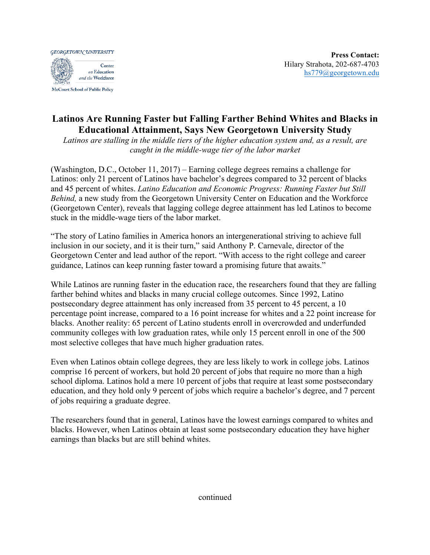**GEORGETOWN UNIVERSITY** Center on Education and the Workforce

McCourt School of Public Policy

## **Latinos Are Running Faster but Falling Farther Behind Whites and Blacks in Educational Attainment, Says New Georgetown University Study**

*Latinos are stalling in the middle tiers of the higher education system and, as a result, are caught in the middle-wage tier of the labor market* 

(Washington, D.C., October 11, 2017) – Earning college degrees remains a challenge for Latinos: only 21 percent of Latinos have bachelor's degrees compared to 32 percent of blacks and 45 percent of whites. *Latino Education and Economic Progress: Running Faster but Still Behind,* a new study from the Georgetown University Center on Education and the Workforce (Georgetown Center), reveals that lagging college degree attainment has led Latinos to become stuck in the middle-wage tiers of the labor market.

"The story of Latino families in America honors an intergenerational striving to achieve full inclusion in our society, and it is their turn," said Anthony P. Carnevale, director of the Georgetown Center and lead author of the report. "With access to the right college and career guidance, Latinos can keep running faster toward a promising future that awaits."

While Latinos are running faster in the education race, the researchers found that they are falling farther behind whites and blacks in many crucial college outcomes. Since 1992, Latino postsecondary degree attainment has only increased from 35 percent to 45 percent, a 10 percentage point increase, compared to a 16 point increase for whites and a 22 point increase for blacks. Another reality: 65 percent of Latino students enroll in overcrowded and underfunded community colleges with low graduation rates, while only 15 percent enroll in one of the 500 most selective colleges that have much higher graduation rates.

Even when Latinos obtain college degrees, they are less likely to work in college jobs. Latinos comprise 16 percent of workers, but hold 20 percent of jobs that require no more than a high school diploma. Latinos hold a mere 10 percent of jobs that require at least some postsecondary education, and they hold only 9 percent of jobs which require a bachelor's degree, and 7 percent of jobs requiring a graduate degree.

The researchers found that in general, Latinos have the lowest earnings compared to whites and blacks. However, when Latinos obtain at least some postsecondary education they have higher earnings than blacks but are still behind whites.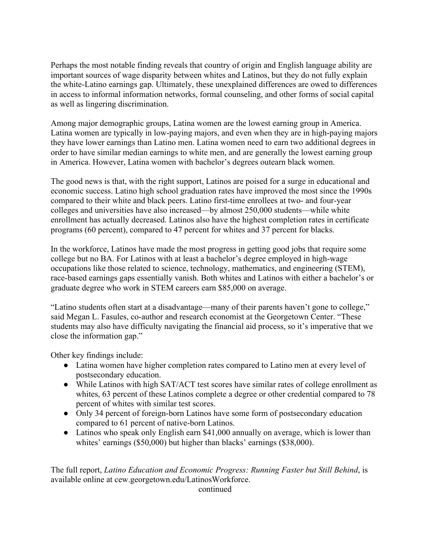Perhaps the most notable finding reveals that country of origin and English language ability are important sources of wage disparity between whites and Latinos, but they do not fully explain the white-Latino earnings gap. Ultimately, these unexplained differences are owed to differences in access to informal information networks, formal counseling, and other forms of social capital as well as lingering discrimination.

Among major demographic groups, Latina women are the lowest earning group in America. Latina women are typically in low-paying majors, and even when they are in high-paying majors they have lower earnings than Latino men. Latina women need to earn two additional degrees in order to have similar median earnings to white men, and are generally the lowest earning group in America. However, Latina women with bachelor's degrees outearn black women.

The good news is that, with the right support, Latinos are poised for a surge in educational and economic success. Latino high school graduation rates have improved the most since the 1990s compared to their white and black peers. Latino first-time enrollees at two- and four-year colleges and universities have also increased—by almost 250,000 students—while white enrollment has actually decreased. Latinos also have the highest completion rates in certificate programs (60 percent), compared to 47 percent for whites and 37 percent for blacks.

In the workforce, Latinos have made the most progress in getting good jobs that require some college but no BA. For Latinos with at least a bachelor's degree employed in high-wage occupations like those related to science, technology, mathematics, and engineering (STEM), race-based earnings gaps essentially vanish. Both whites and Latinos with either a bachelor's or graduate degree who work in STEM careers earn \$85,000 on average.

"Latino students often start at a disadvantage—many of their parents haven't gone to college," said Megan L. Fasules, co-author and research economist at the Georgetown Center. "These students may also have difficulty navigating the financial aid process, so it's imperative that we close the information gap."

Other key findings include:

- Latina women have higher completion rates compared to Latino men at every level of postsecondary education.
- While Latinos with high SAT/ACT test scores have similar rates of college enrollment as whites, 63 percent of these Latinos complete a degree or other credential compared to 78 percent of whites with similar test scores.
- Only 34 percent of foreign-born Latinos have some form of postsecondary education compared to 61 percent of native-born Latinos.
- Latinos who speak only English earn \$41,000 annually on average, which is lower than whites' earnings (\$50,000) but higher than blacks' earnings (\$38,000).

The full report, *Latino Education and Economic Progress: Running Faster but Still Behind*, is available online at cew.georgetown.edu/LatinosWorkforce.

continued